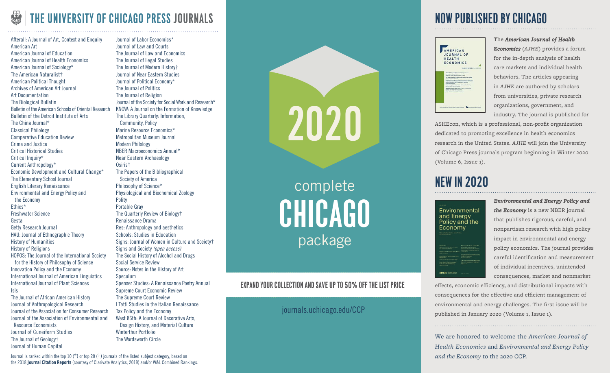## THE UNIVERSITY OF CHICAGO PRESS JOURNALS

Afterall: A Journal of Art, Context and Enquiry American Art American Journal of Education American Journal of Health Economics American Journal of Sociology\* The American Naturalist† American Political Thought Archives of American Art Journal Art Documentation The Biological Bulletin Bulletin of the American Schools of Oriental Research Bulletin of the Detroit Institute of Arts The China Journal\* Classical Philology Comparative Education Review Crime and Justice Critical Historical Studies Critical Inquiry\* Current Anthropology\* Economic Development and Cultural Change\* The Elementary School Journal English Literary Renaissance Environmental and Energy Policy and the Economy Ethics\* Freshwater Science Gesta Getty Research Journal HAU: Journal of Ethnographic Theory History of Humanities History of Religions HOPOS: The Journal of the International Society for the History of Philosophy of Science Innovation Policy and the Economy International Journal of American Linguistics International Journal of Plant Sciences Isis The Journal of African American History Journal of Anthropological Research Journal of the Association for Consumer Research Journal of the Association of Environmental and Resource Economists Journal of Cuneiform Studies

The Journal of Geology† Journal of Human Capital

Journal of Labor Economics\* Journal of Law and Courts The Journal of Law and Economics The Journal of Legal Studies The Journal of Modern History† Journal of Near Eastern Studies Journal of Political Economy\* The Journal of Politics The Journal of Religion Journal of the Society for Social Work and Research\* KNOW: A Journal on the Formation of Knowledge The Library Quarterly: Information, Community, Policy Marine Resource Economics\* Metropolitan Museum Journal Modern Philology NBER Macroeconomics Annual\* Near Eastern Archaeology Osiris† The Papers of the Bibliographical Society of America Philosophy of Science\* Physiological and Biochemical Zoology Polity Portable Gray The Quarterly Review of Biology† Renaissance Drama Res: Anthropology and aesthetics Schools: Studies in Education Signs: Journal of Women in Culture and Society† Signs and Society (open access) The Social History of Alcohol and Drugs Social Service Review Source: Notes in the History of Art Speculum Spenser Studies: A Renaissance Poetry Annual Supreme Court Economic Review The Supreme Court Review I Tatti Studies in the Italian Renaissance Tax Policy and the Economy West 86th: A Journal of Decorative Arts, Design History, and Material Culture Winterthur Portfolio The Wordsworth Circle

Journal is ranked within the top 10 (\*) or top 20 (†) journals of the listed subject category, based on the 2018 **Journal Citation Reports** (courtesy of Clarivate Analytics, 2019) and/or W&L Combined Rankings.



complete CHICAGO package

#### Expand your collection and save UP TO 50% off the list price

journals.uchicago.edu/CCP

### NOW PUBLISHED BY CHICAGO



*Economics* (*AJHE*) provides a forum for the in-depth analysis of health care markets and individual health behaviors. The articles appearing in *AJHE* are authored by scholars from universities, private research organizations, government, and industry. The journal is published for

The *American Journal of Health*

ASHEcon, which is a professional, non-profit organization dedicated to promoting excellence in health economics research in the United States. *AJHE* will join the University of Chicago Press journals program beginning in Winter 2020 (Volume 6, Issue 1).

### NEW IN 2020

Environmental and Energy<br>Policy and the Economy NIGHT **SECTION** 

*Environmental and Energy Policy and* 

*the Economy* is a new NBER journal that publishes rigorous, careful, and nonpartisan research with high policy impact in environmental and energy policy economics. The journal provides careful identification and measurement of individual incentives, unintended consequences, market and nonmarket

effects, economic efficiency, and distributional impacts with consequences for the effective and efficient management of environmental and energy challenges. The first issue will be published in January 2020 (Volume 1, Issue 1).

We are honored to welcome the *American Journal of Health Economics* and *Environmental and Energy Policy and the Economy* to the 2020 CCP.